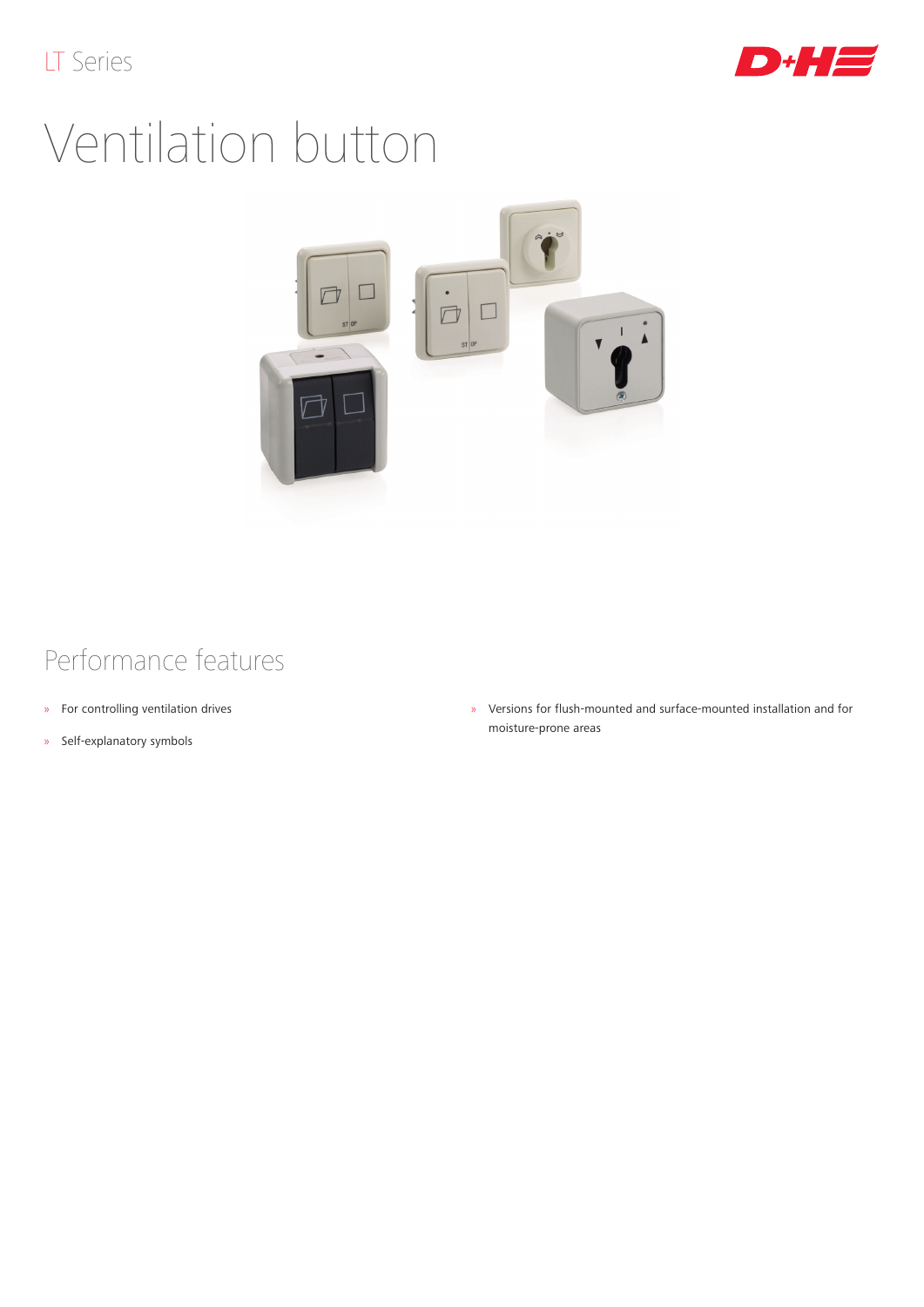

## Ventilation button



## Performance features

- » For controlling ventilation drives
- » Self-explanatory symbols

» Versions for flush-mounted and surface-mounted installation and for moisture-prone areas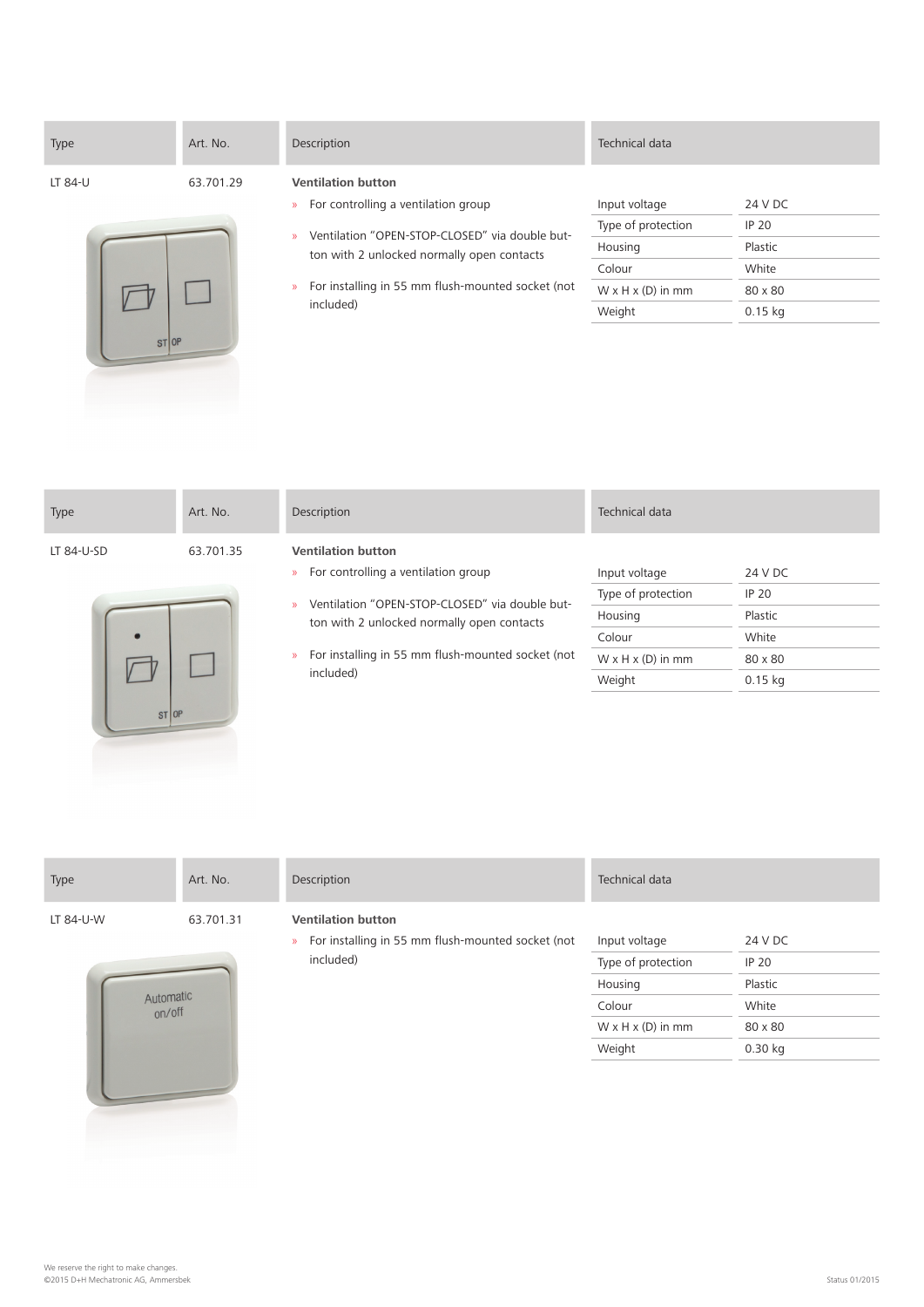| Type               | Art. No.  | Description                                                                                                                                                                                                                                                                           | Technical data                                                                                      |                                                                     |
|--------------------|-----------|---------------------------------------------------------------------------------------------------------------------------------------------------------------------------------------------------------------------------------------------------------------------------------------|-----------------------------------------------------------------------------------------------------|---------------------------------------------------------------------|
| LT 84-U<br>$ST$ OP | 63.701.29 | <b>Ventilation button</b><br>For controlling a ventilation group<br>$\mathcal{D}$<br>Ventilation "OPEN-STOP-CLOSED" via double but-<br>$\mathcal{D}$<br>ton with 2 unlocked normally open contacts<br>For installing in 55 mm flush-mounted socket (not<br>$\mathcal{D}$<br>included) | Input voltage<br>Type of protection<br>Housing<br>Colour<br>$W \times H \times (D)$ in mm<br>Weight | 24 V DC<br><b>IP 20</b><br>Plastic<br>White<br>80 x 80<br>$0.15$ kg |

| Type               | Art. No.  | Description                                                                                                                                                                                                                                                                           | Technical data                                                                                      |                                                                     |
|--------------------|-----------|---------------------------------------------------------------------------------------------------------------------------------------------------------------------------------------------------------------------------------------------------------------------------------------|-----------------------------------------------------------------------------------------------------|---------------------------------------------------------------------|
| LT 84-U-SD<br>STOP | 63.701.35 | <b>Ventilation button</b><br>For controlling a ventilation group<br>$\mathcal{D}$<br>Ventilation "OPEN-STOP-CLOSED" via double but-<br>$\mathcal{D}$<br>ton with 2 unlocked normally open contacts<br>For installing in 55 mm flush-mounted socket (not<br>$\mathcal{D}$<br>included) | Input voltage<br>Type of protection<br>Housing<br>Colour<br>$W \times H \times (D)$ in mm<br>Weight | 24 V DC<br><b>IP 20</b><br>Plastic<br>White<br>80 x 80<br>$0.15$ kg |

| Type                               | Art. No.  | Description                                                                                              | Technical data                                                                                      |                                                                     |
|------------------------------------|-----------|----------------------------------------------------------------------------------------------------------|-----------------------------------------------------------------------------------------------------|---------------------------------------------------------------------|
| LT 84-U-W<br>Automatic<br>$on$ off | 63.701.31 | <b>Ventilation button</b><br>For installing in 55 mm flush-mounted socket (not<br>$\lambda$<br>included) | Input voltage<br>Type of protection<br>Housing<br>Colour<br>$W \times H \times (D)$ in mm<br>Weight | 24 V DC<br><b>IP 20</b><br>Plastic<br>White<br>80 x 80<br>$0.30$ kg |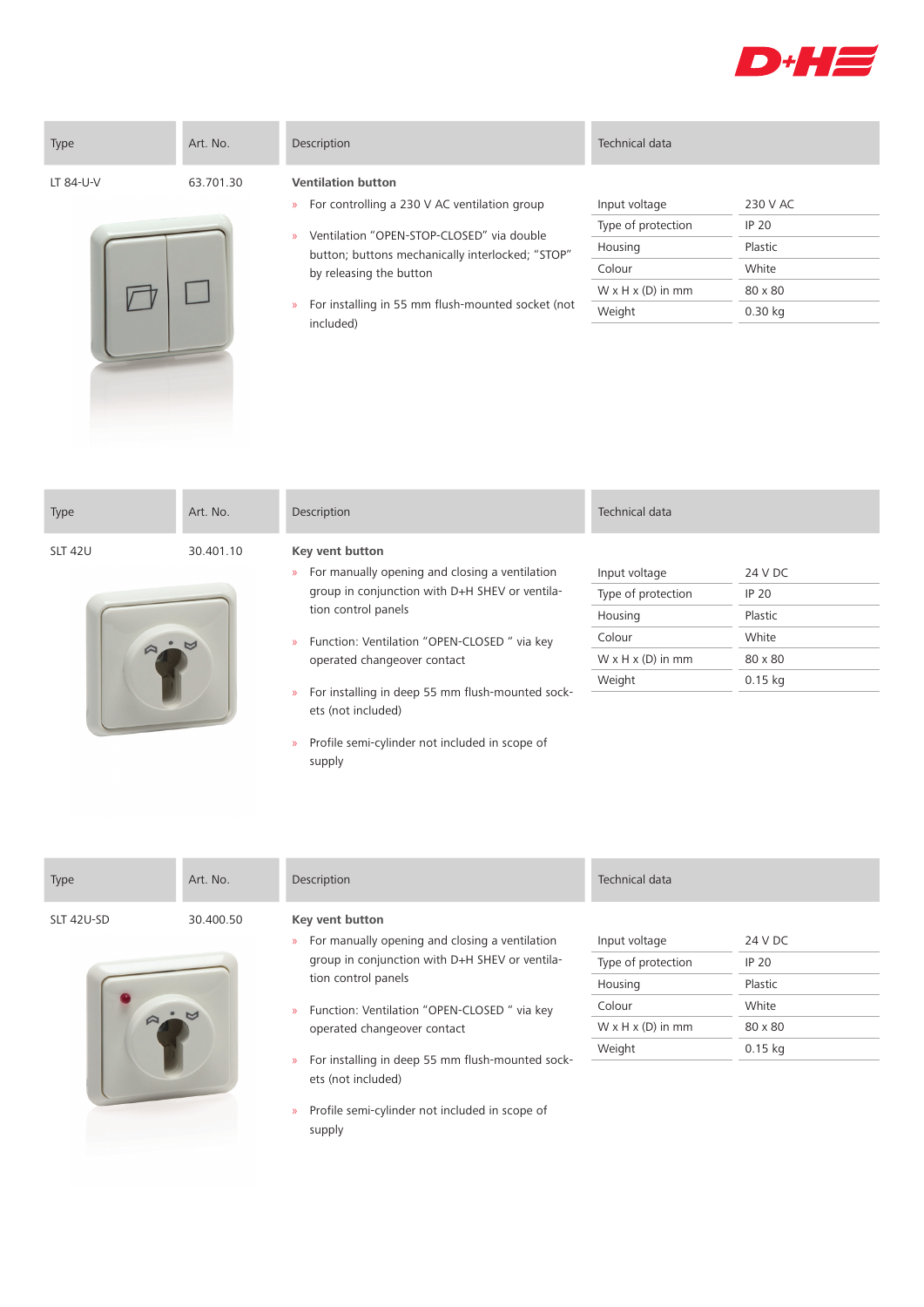





- » Ventilation "OPEN-STOP-CLOSED" via double button; buttons mechanically interlocked; "STOP" by releasing the button
- » For installing in 55 mm flush-mounted socket (not included)

## Type of protection IP 20 Housing Plastic Colour White  $W \times H \times (D)$  in mm 80  $\times$  80 Weight 0.30 kg

| Type           | Art. No.       | Description                                                                             | Technical data                |              |
|----------------|----------------|-----------------------------------------------------------------------------------------|-------------------------------|--------------|
| <b>SLT 42U</b> | 30.401.10      | Key vent button                                                                         |                               |              |
|                |                | For manually opening and closing a ventilation<br>$\mathcal{D}$                         | Input voltage                 | 24 V DC      |
|                |                | group in conjunction with D+H SHEV or ventila-                                          | Type of protection            | <b>IP 20</b> |
|                |                | tion control panels                                                                     | Housing                       | Plastic      |
|                | $\blacksquare$ | Function: Ventilation "OPEN-CLOSED" via key<br>$\mathcal{D}$                            | Colour                        | White        |
|                |                | operated changeover contact                                                             | $W \times H \times (D)$ in mm | 80 x 80      |
|                |                |                                                                                         | Weight                        | $0.15$ kg    |
|                |                | For installing in deep 55 mm flush-mounted sock-<br>$\mathcal{D}$<br>ets (not included) |                               |              |

» Profile semi-cylinder not included in scope of

supply

supply

| Type       | Art. No.  | Description                                                                                 | Technical data                |              |
|------------|-----------|---------------------------------------------------------------------------------------------|-------------------------------|--------------|
| SLT 42U-SD | 30.400.50 | Key vent button<br>For manually opening and closing a ventilation<br>$\mathcal{D}$          | Input voltage                 | 24 V DC      |
|            |           | group in conjunction with D+H SHEV or ventila-                                              | Type of protection            | <b>IP 20</b> |
|            |           | tion control panels                                                                         | Housing                       | Plastic      |
|            |           | Function: Ventilation "OPEN-CLOSED" via key<br>$\mathcal{D}$<br>operated changeover contact | Colour                        | White        |
|            |           |                                                                                             | $W \times H \times (D)$ in mm | 80 x 80      |
|            |           | For installing in deep 55 mm flush-mounted sock-<br>$\mathcal{D}$<br>ets (not included)     | Weight                        | $0.15$ kg    |
|            |           | Profile semi-cylinder not included in scope of<br>$\mathcal{D}$                             |                               |              |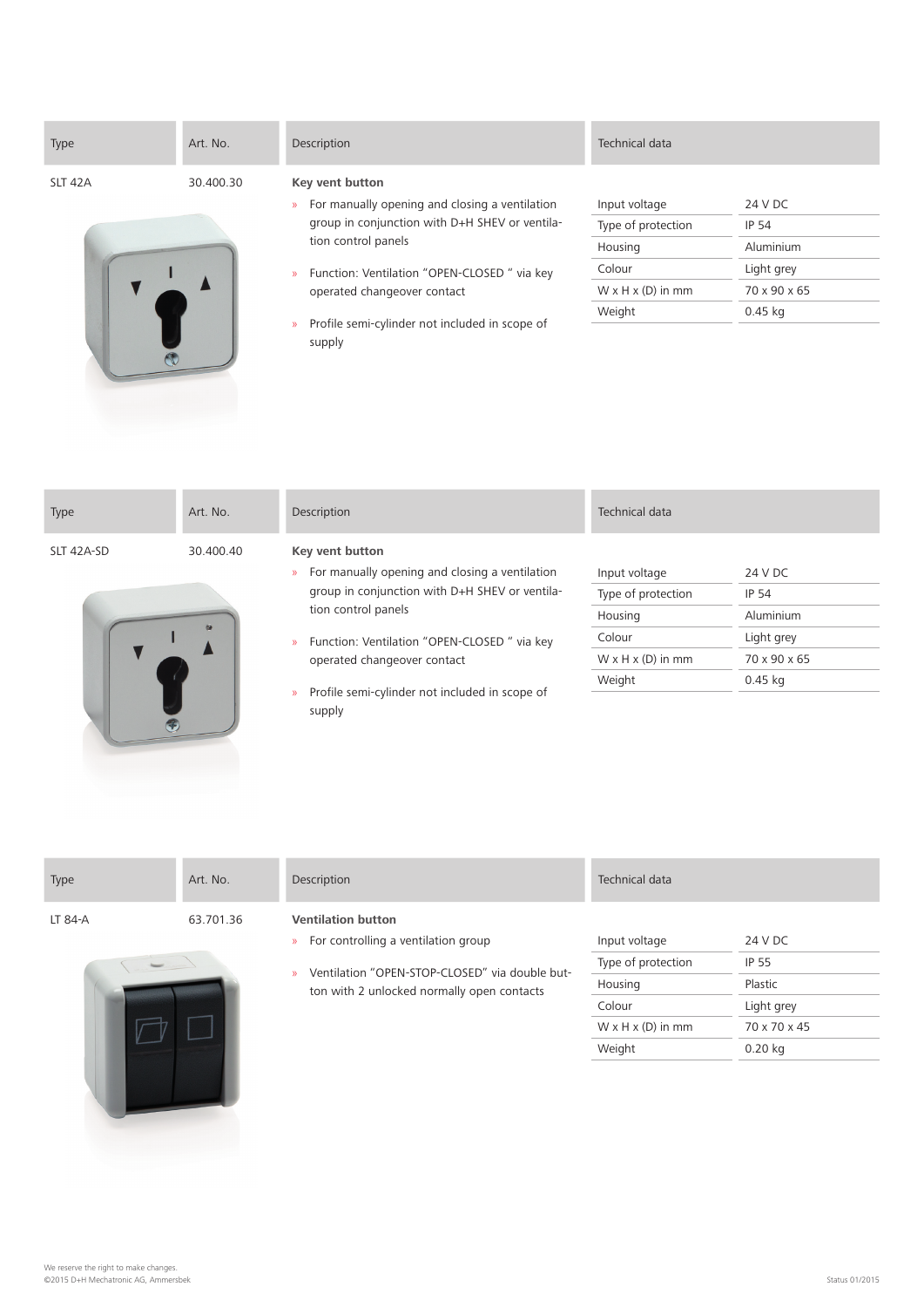| Type    | Art. No.  | Description                                                     | Technical data                |              |
|---------|-----------|-----------------------------------------------------------------|-------------------------------|--------------|
| SLT 42A | 30.400.30 | Key vent button                                                 |                               |              |
|         |           | For manually opening and closing a ventilation<br>$\mathcal{D}$ | Input voltage                 | 24 V DC      |
|         |           | group in conjunction with D+H SHEV or ventila-                  | Type of protection            | <b>IP 54</b> |
|         |           | tion control panels                                             | Housing                       | Aluminium    |
|         |           | Function: Ventilation "OPEN-CLOSED" via key                     | Colour                        | Light grey   |
|         |           | operated changeover contact                                     | $W \times H \times (D)$ in mm | 70 x 90 x 65 |
|         |           | Profile semi-cylinder not included in scope of<br>$\mathcal{D}$ | Weight                        | $0.45$ kg    |
|         |           | supply                                                          |                               |              |

| Type       | Art. No.             | Description                                                                                                                                                                                                                                                                                                                   | Technical data                                                                                      |                                                                                 |
|------------|----------------------|-------------------------------------------------------------------------------------------------------------------------------------------------------------------------------------------------------------------------------------------------------------------------------------------------------------------------------|-----------------------------------------------------------------------------------------------------|---------------------------------------------------------------------------------|
| SLT 42A-SD | 30.400.40<br>$\circ$ | Key vent button<br>For manually opening and closing a ventilation<br>$\mathcal{V}$<br>group in conjunction with D+H SHEV or ventila-<br>tion control panels<br>Function: Ventilation "OPEN-CLOSED" via key<br>$\mathcal{D}$<br>operated changeover contact<br>Profile semi-cylinder not included in scope of<br>$\mathcal{P}$ | Input voltage<br>Type of protection<br>Housing<br>Colour<br>$W \times H \times (D)$ in mm<br>Weight | 24 V DC<br><b>IP 54</b><br>Aluminium<br>Light grey<br>70 x 90 x 65<br>$0.45$ kg |
|            |                      | supply                                                                                                                                                                                                                                                                                                                        |                                                                                                     |                                                                                 |

| Type    | Art. No.  | Description                         | Technical data |         |  |
|---------|-----------|-------------------------------------|----------------|---------|--|
| LT 84-A | 63.701.36 | <b>Ventilation button</b>           |                |         |  |
|         |           | For controlling a ventilation group | Input voltage  | 24 V DC |  |



 $\begin{picture}(20,20) \put(0,0){\line(1,0){155}} \put(15,0){\line(1,0){155}} \put(15,0){\line(1,0){155}} \put(15,0){\line(1,0){155}} \put(15,0){\line(1,0){155}} \put(15,0){\line(1,0){155}} \put(15,0){\line(1,0){155}} \put(15,0){\line(1,0){155}} \put(15,0){\line(1,0){155}} \put(15,0){\line(1,0){155}} \put(15,0){\line(1,0){155}} \$ 

- ng a ventilation group
- » Ventilation "OPEN-STOP-CLOSED" via double button with 2 unlocked normally open contacts

| Input voltage                 | 24 V DC      |
|-------------------------------|--------------|
| Type of protection            | IP 55        |
| Housing                       | Plastic      |
| Colour                        | Light grey   |
| $W \times H \times (D)$ in mm | 70 x 70 x 45 |
| Weight                        | $0.20$ kg    |
|                               |              |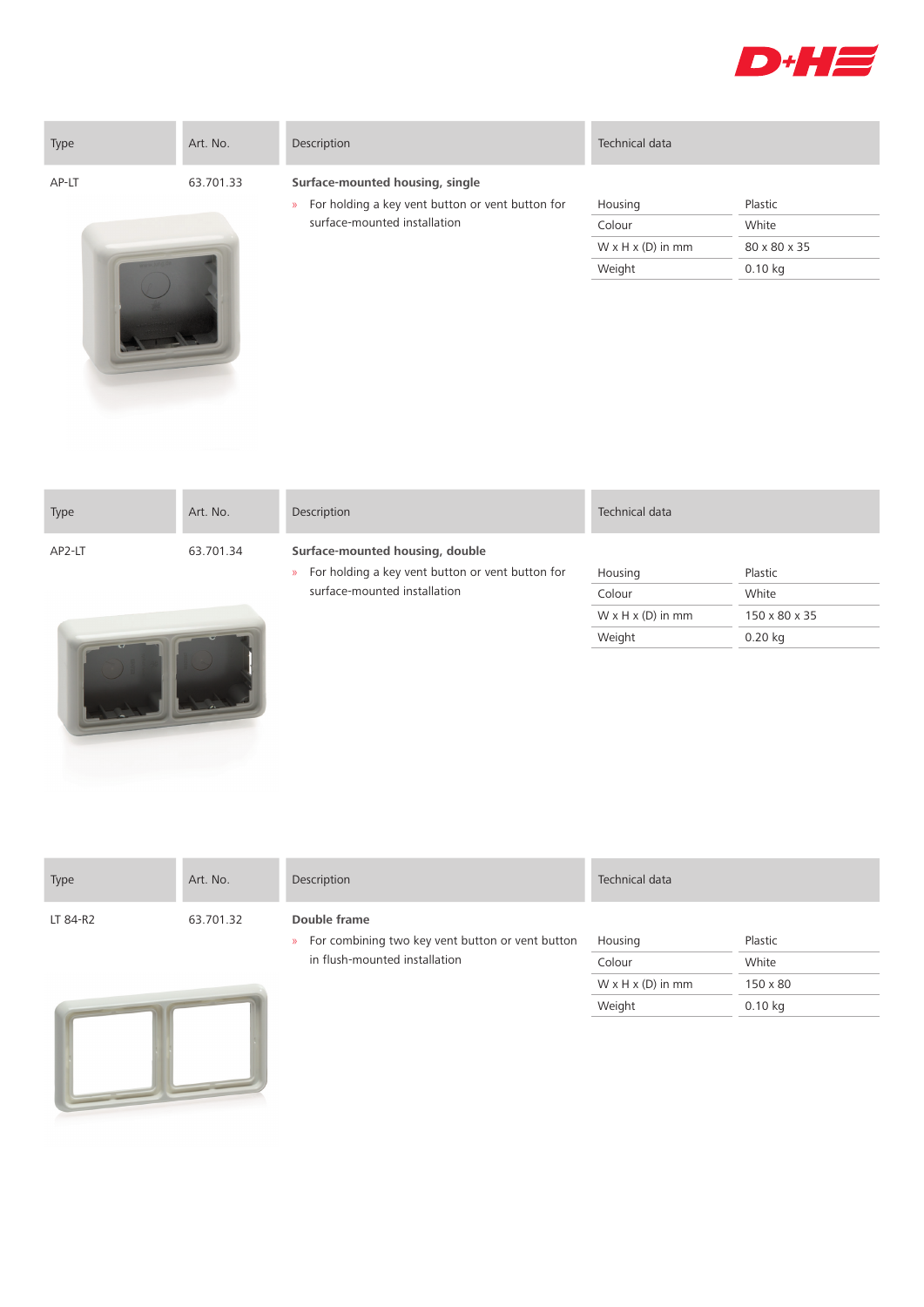

| Type  | Art. No.  | Description                                                                                          | Technical data                          |                       |
|-------|-----------|------------------------------------------------------------------------------------------------------|-----------------------------------------|-----------------------|
| AP-LT | 63.701.33 | Surface-mounted housing, single<br>For holding a key vent button or vent button for<br>$\mathcal{D}$ | Housing                                 | Plastic               |
|       |           | surface-mounted installation                                                                         | Colour<br>$W \times H \times (D)$ in mm | White<br>80 x 80 x 35 |
|       |           |                                                                                                      | Weight                                  | $0.10$ kg             |

| Type                          | Art. No.                     | Description                                                                                          | Technical data                |               |
|-------------------------------|------------------------------|------------------------------------------------------------------------------------------------------|-------------------------------|---------------|
| AP2-LT                        | 63.701.34                    | Surface-mounted housing, double<br>For holding a key vent button or vent button for<br>$\mathcal{D}$ | Housing                       | Plastic       |
|                               | surface-mounted installation |                                                                                                      | Colour                        | White         |
|                               |                              |                                                                                                      | $W \times H \times (D)$ in mm | 150 x 80 x 35 |
| and the property of the local |                              |                                                                                                      | Weight                        | $0.20$ kg     |



| Type     | Art. No.  | Description                                                                       | Technical data                |          |
|----------|-----------|-----------------------------------------------------------------------------------|-------------------------------|----------|
| LT 84-R2 | 63.701.32 | Double frame<br>For combining two key vent button or vent button<br>$\mathcal{D}$ | Housing                       | Plastic  |
|          |           | in flush-mounted installation                                                     | Colour                        | White    |
|          |           |                                                                                   | $W \times H \times (D)$ in mm | 150 x 80 |

Weight 0.10 kg